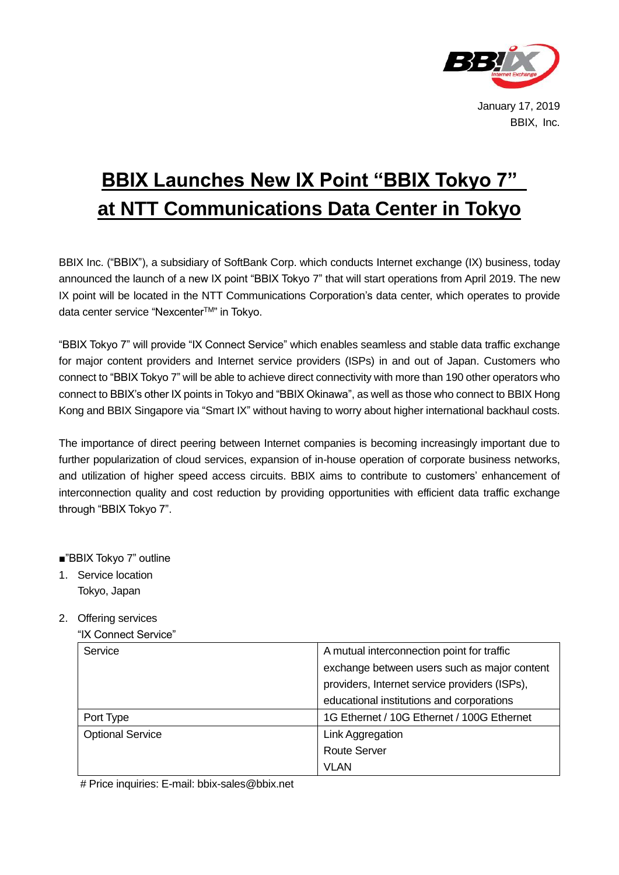

## **BBIX Launches New IX Point "BBIX Tokyo 7" at NTT Communications Data Center in Tokyo**

BBIX Inc. ("BBIX"), a subsidiary of SoftBank Corp. which conducts Internet exchange (IX) business, today announced the launch of a new IX point "BBIX Tokyo 7" that will start operations from April 2019. The new IX point will be located in the NTT Communications Corporation's data center, which operates to provide data center service "Nexcenter™" in Tokyo.

"BBIX Tokyo 7" will provide "IX Connect Service" which enables seamless and stable data traffic exchange for major content providers and Internet service providers (ISPs) in and out of Japan. Customers who connect to "BBIX Tokyo 7" will be able to achieve direct connectivity with more than 190 other operators who connect to BBIX's other IX points in Tokyo and "BBIX Okinawa", as well as those who connect to BBIX Hong Kong and BBIX Singapore via "Smart IX" without having to worry about higher international backhaul costs.

The importance of direct peering between Internet companies is becoming increasingly important due to further popularization of cloud services, expansion of in-house operation of corporate business networks, and utilization of higher speed access circuits. BBIX aims to contribute to customers' enhancement of interconnection quality and cost reduction by providing opportunities with efficient data traffic exchange through "BBIX Tokyo 7".

## ■"BBIX Tokyo 7" outline

- 1.Service location Tokyo, Japan
- 2. Offering services
	- "IX Connect Service"

| Service                 | A mutual interconnection point for traffic    |
|-------------------------|-----------------------------------------------|
|                         | exchange between users such as major content  |
|                         | providers, Internet service providers (ISPs), |
|                         | educational institutions and corporations     |
| Port Type               | 1G Ethernet / 10G Ethernet / 100G Ethernet    |
| <b>Optional Service</b> | Link Aggregation                              |
|                         | <b>Route Server</b>                           |
|                         | <b>VLAN</b>                                   |

# Price inquiries: E-mail: bbix-sales@bbix.net